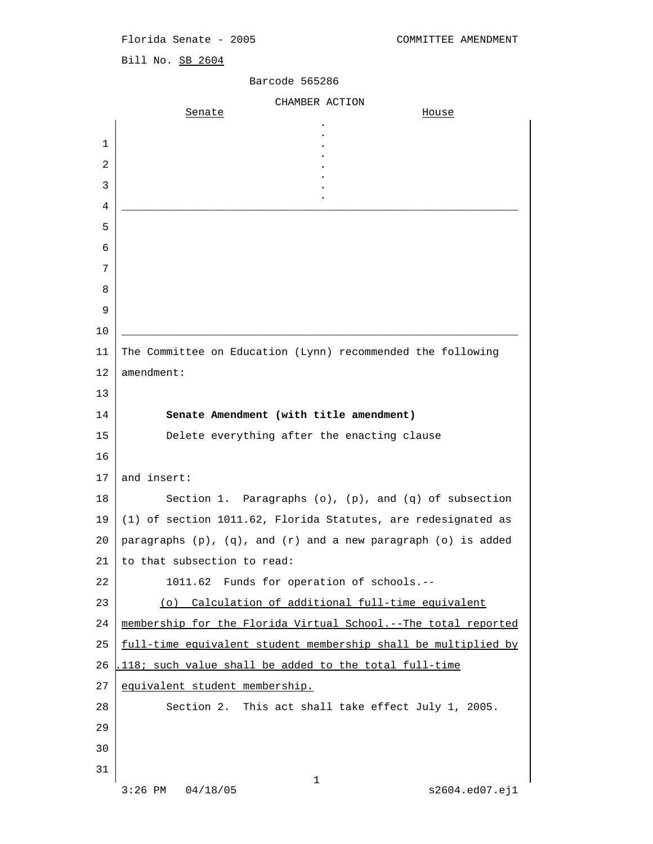## Florida Senate - 2005 COMMITTEE AMENDMENT

Bill No. SB 2604

## Barcode 565286

```
CHAMBER ACTION<br>Senate
Senate House
the property of the control of the control of the control of the control of
the contract of the contract of the contract of the contract of the contract of
\mathbf{1} .
the contract of the contract of the contract of the contract of the contract of
\overline{2} .
the contract of the contract of the contract of the contract of the contract of
\overline{3} .
the contract of the contract of the contract of the contract of the contract of
4 \overline{a} 5 
 6 
 7 
 8 
 9 
10 ______________________________________________________________
11 The Committee on Education (Lynn) recommended the following
12 amendment:
13 
14 Senate Amendment (with title amendment)
15 Delete everything after the enacting clause
16 
17 and insert: 
18 Section 1. Paragraphs (o), (p), and (q) of subsection
19 (1) of section 1011.62, Florida Statutes, are redesignated as
20 paragraphs (p), (q), and (r) and a new paragraph (o) is added
21 to that subsection to read:
22 1011.62 Funds for operation of schools.--
23 (o) Calculation of additional full-time equivalent
24 membership for the Florida Virtual School.--The total reported
25 full-time equivalent student membership shall be multiplied by
26 .118; such value shall be added to the total full-time
27 equivalent student membership.
28 Section 2. This act shall take effect July 1, 2005.
29 
30 
31 
 1
    3:26 PM 04/18/05 s2604.ed07.ej1
```